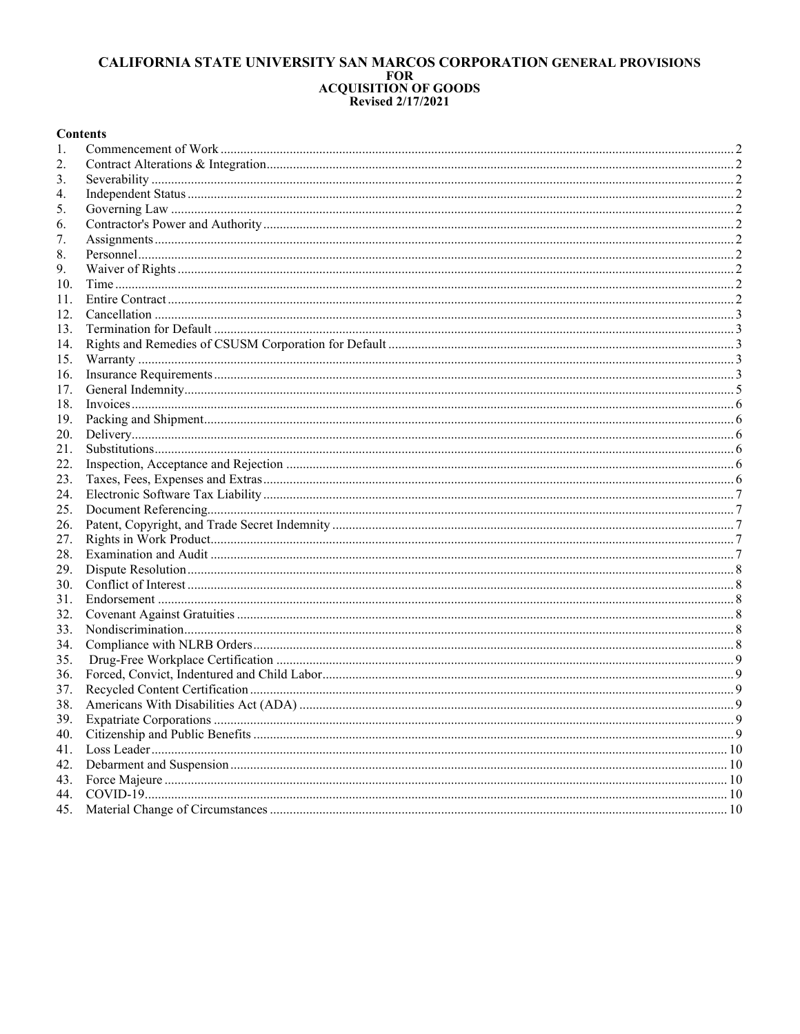# CALIFORNIA STATE UNIVERSITY SAN MARCOS CORPORATION GENERAL PROVISIONS FOR<br>FOR<br>ACQUISITION OF GOODS<br>Revised 2/17/2021

## **Contents**

| 1.  |  |
|-----|--|
| 2.  |  |
| 3.  |  |
| 4.  |  |
| 5.  |  |
| 6.  |  |
| 7.  |  |
| 8.  |  |
| 9.  |  |
| 10. |  |
| 11. |  |
| 12. |  |
| 13. |  |
| 14. |  |
| 15. |  |
| 16. |  |
| 17. |  |
| 18. |  |
| 19. |  |
| 20. |  |
| 21. |  |
| 22. |  |
| 23. |  |
| 24. |  |
| 25. |  |
| 26. |  |
| 27. |  |
| 28. |  |
| 29. |  |
| 30. |  |
| 31. |  |
| 32. |  |
| 33. |  |
| 34. |  |
| 35. |  |
| 36. |  |
| 37. |  |
| 38. |  |
| 39. |  |
| 40. |  |
| 41. |  |
| 42. |  |
| 43. |  |
| 44. |  |
|     |  |
|     |  |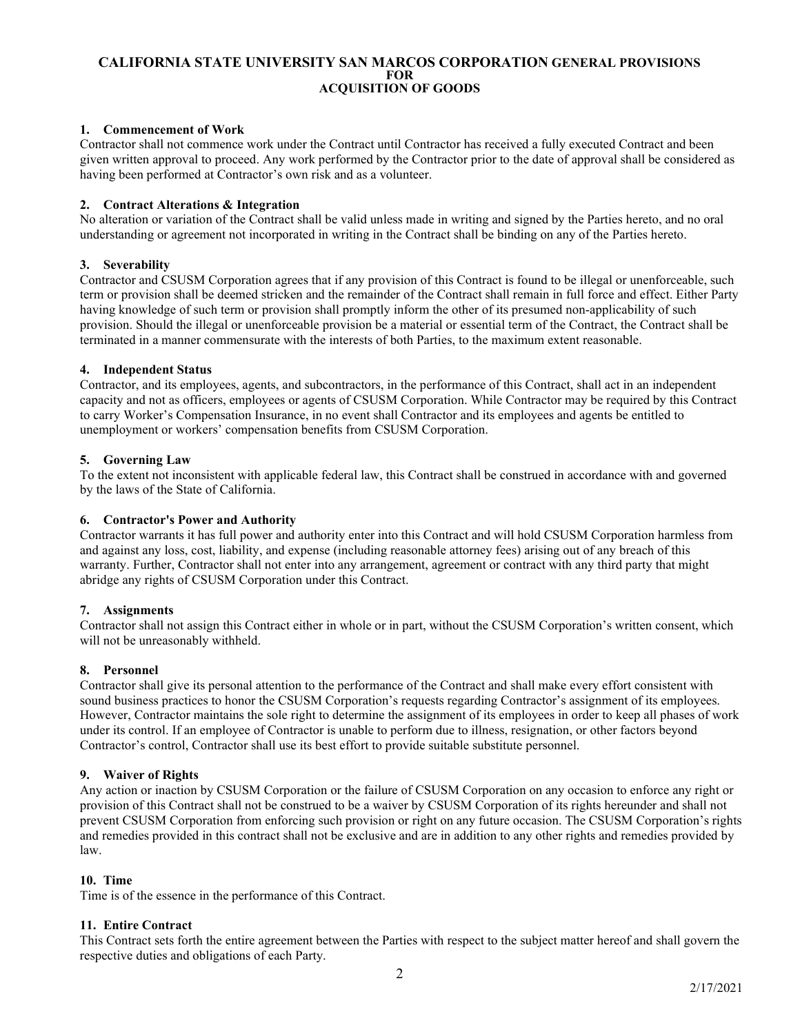# <span id="page-1-0"></span>**1. Commencement of Work**

Contractor shall not commence work under the Contract until Contractor has received a fully executed Contract and been given written approval to proceed. Any work performed by the Contractor prior to the date of approval shall be considered as having been performed at Contractor's own risk and as a volunteer.

## <span id="page-1-1"></span>**2. Contract Alterations & Integration**

No alteration or variation of the Contract shall be valid unless made in writing and signed by the Parties hereto, and no oral understanding or agreement not incorporated in writing in the Contract shall be binding on any of the Parties hereto.

# <span id="page-1-2"></span>**3. Severability**

Contractor and CSUSM Corporation agrees that if any provision of this Contract is found to be illegal or unenforceable, such term or provision shall be deemed stricken and the remainder of the Contract shall remain in full force and effect. Either Party having knowledge of such term or provision shall promptly inform the other of its presumed non-applicability of such provision. Should the illegal or unenforceable provision be a material or essential term of the Contract, the Contract shall be terminated in a manner commensurate with the interests of both Parties, to the maximum extent reasonable.

# <span id="page-1-3"></span>**4. Independent Status**

Contractor, and its employees, agents, and subcontractors, in the performance of this Contract, shall act in an independent capacity and not as officers, employees or agents of CSUSM Corporation. While Contractor may be required by this Contract to carry Worker's Compensation Insurance, in no event shall Contractor and its employees and agents be entitled to unemployment or workers' compensation benefits from CSUSM Corporation.

# <span id="page-1-4"></span>**5. Governing Law**

To the extent not inconsistent with applicable federal law, this Contract shall be construed in accordance with and governed by the laws of the State of California.

## <span id="page-1-5"></span>**6. Contractor's Power and Authority**

Contractor warrants it has full power and authority enter into this Contract and will hold CSUSM Corporation harmless from and against any loss, cost, liability, and expense (including reasonable attorney fees) arising out of any breach of this warranty. Further, Contractor shall not enter into any arrangement, agreement or contract with any third party that might abridge any rights of CSUSM Corporation under this Contract.

## <span id="page-1-6"></span>**7. Assignments**

Contractor shall not assign this Contract either in whole or in part, without the CSUSM Corporation's written consent, which will not be unreasonably withheld.

## <span id="page-1-7"></span>**8. Personnel**

Contractor shall give its personal attention to the performance of the Contract and shall make every effort consistent with sound business practices to honor the CSUSM Corporation's requests regarding Contractor's assignment of its employees. However, Contractor maintains the sole right to determine the assignment of its employees in order to keep all phases of work under its control. If an employee of Contractor is unable to perform due to illness, resignation, or other factors beyond Contractor's control, Contractor shall use its best effort to provide suitable substitute personnel.

## <span id="page-1-8"></span>**9. Waiver of Rights**

Any action or inaction by CSUSM Corporation or the failure of CSUSM Corporation on any occasion to enforce any right or provision of this Contract shall not be construed to be a waiver by CSUSM Corporation of its rights hereunder and shall not prevent CSUSM Corporation from enforcing such provision or right on any future occasion. The CSUSM Corporation's rights and remedies provided in this contract shall not be exclusive and are in addition to any other rights and remedies provided by law.

## <span id="page-1-9"></span>**10. Time**

Time is of the essence in the performance of this Contract.

## <span id="page-1-10"></span>**11. Entire Contract**

This Contract sets forth the entire agreement between the Parties with respect to the subject matter hereof and shall govern the respective duties and obligations of each Party.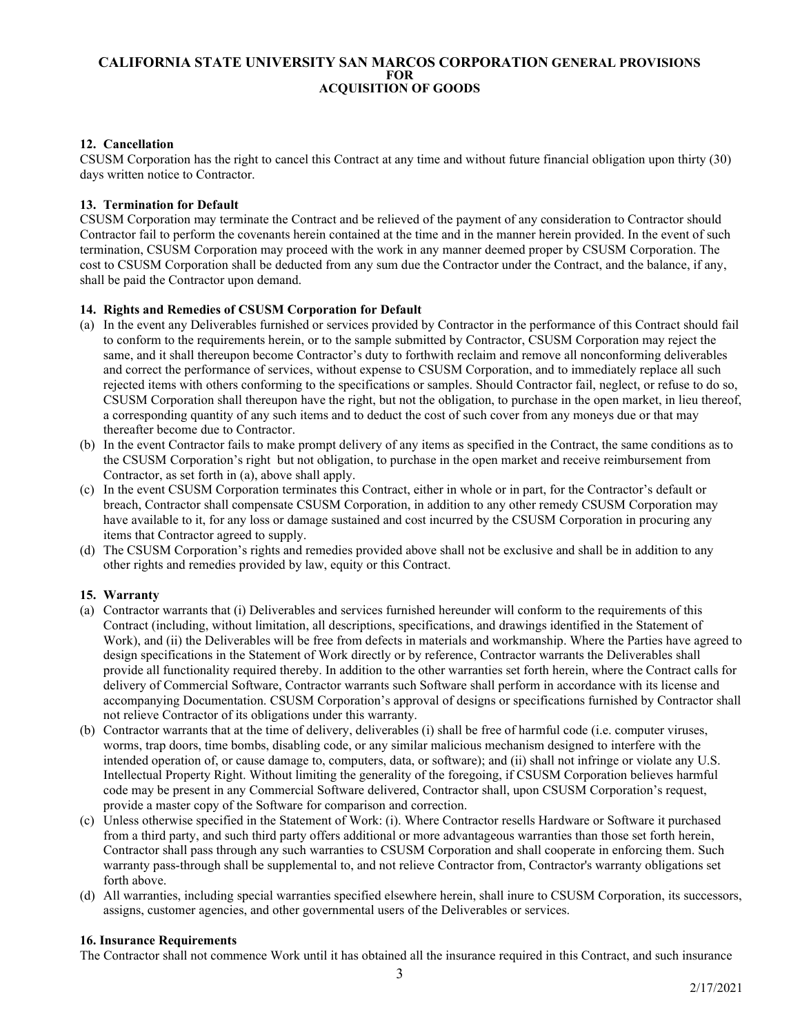# <span id="page-2-0"></span>**12. Cancellation**

CSUSM Corporation has the right to cancel this Contract at any time and without future financial obligation upon thirty (30) days written notice to Contractor.

## <span id="page-2-1"></span>**13. Termination for Default**

CSUSM Corporation may terminate the Contract and be relieved of the payment of any consideration to Contractor should Contractor fail to perform the covenants herein contained at the time and in the manner herein provided. In the event of such termination, CSUSM Corporation may proceed with the work in any manner deemed proper by CSUSM Corporation. The cost to CSUSM Corporation shall be deducted from any sum due the Contractor under the Contract, and the balance, if any, shall be paid the Contractor upon demand.

## <span id="page-2-2"></span>**14. Rights and Remedies of CSUSM Corporation for Default**

- (a) In the event any Deliverables furnished or services provided by Contractor in the performance of this Contract should fail to conform to the requirements herein, or to the sample submitted by Contractor, CSUSM Corporation may reject the same, and it shall thereupon become Contractor's duty to forthwith reclaim and remove all nonconforming deliverables and correct the performance of services, without expense to CSUSM Corporation, and to immediately replace all such rejected items with others conforming to the specifications or samples. Should Contractor fail, neglect, or refuse to do so, CSUSM Corporation shall thereupon have the right, but not the obligation, to purchase in the open market, in lieu thereof, a corresponding quantity of any such items and to deduct the cost of such cover from any moneys due or that may thereafter become due to Contractor.
- (b) In the event Contractor fails to make prompt delivery of any items as specified in the Contract, the same conditions as to the CSUSM Corporation's right but not obligation, to purchase in the open market and receive reimbursement from Contractor, as set forth in (a), above shall apply.
- (c) In the event CSUSM Corporation terminates this Contract, either in whole or in part, for the Contractor's default or breach, Contractor shall compensate CSUSM Corporation, in addition to any other remedy CSUSM Corporation may have available to it, for any loss or damage sustained and cost incurred by the CSUSM Corporation in procuring any items that Contractor agreed to supply.
- (d) The CSUSM Corporation's rights and remedies provided above shall not be exclusive and shall be in addition to any other rights and remedies provided by law, equity or this Contract.

## <span id="page-2-3"></span>**15. Warranty**

- (a) Contractor warrants that (i) Deliverables and services furnished hereunder will conform to the requirements of this Contract (including, without limitation, all descriptions, specifications, and drawings identified in the Statement of Work), and (ii) the Deliverables will be free from defects in materials and workmanship. Where the Parties have agreed to design specifications in the Statement of Work directly or by reference, Contractor warrants the Deliverables shall provide all functionality required thereby. In addition to the other warranties set forth herein, where the Contract calls for delivery of Commercial Software, Contractor warrants such Software shall perform in accordance with its license and accompanying Documentation. CSUSM Corporation's approval of designs or specifications furnished by Contractor shall not relieve Contractor of its obligations under this warranty.
- (b) Contractor warrants that at the time of delivery, deliverables (i) shall be free of harmful code (i.e. computer viruses, worms, trap doors, time bombs, disabling code, or any similar malicious mechanism designed to interfere with the intended operation of, or cause damage to, computers, data, or software); and (ii) shall not infringe or violate any U.S. Intellectual Property Right. Without limiting the generality of the foregoing, if CSUSM Corporation believes harmful code may be present in any Commercial Software delivered, Contractor shall, upon CSUSM Corporation's request, provide a master copy of the Software for comparison and correction.
- (c) Unless otherwise specified in the Statement of Work: (i). Where Contractor resells Hardware or Software it purchased from a third party, and such third party offers additional or more advantageous warranties than those set forth herein, Contractor shall pass through any such warranties to CSUSM Corporation and shall cooperate in enforcing them. Such warranty pass-through shall be supplemental to, and not relieve Contractor from, Contractor's warranty obligations set forth above.
- (d) All warranties, including special warranties specified elsewhere herein, shall inure to CSUSM Corporation, its successors, assigns, customer agencies, and other governmental users of the Deliverables or services.

#### <span id="page-2-4"></span>**16. Insurance Requirements**

The Contractor shall not commence Work until it has obtained all the insurance required in this Contract, and such insurance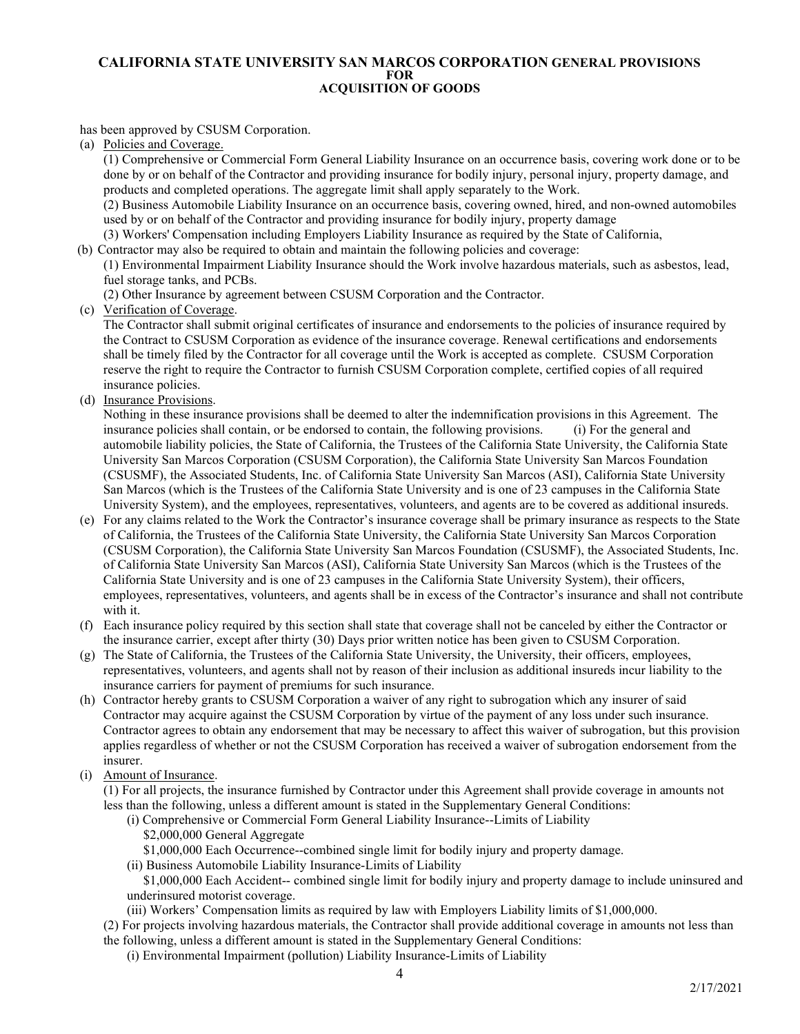## has been approved by CSUSM Corporation.

(a) Policies and Coverage.

(1) Comprehensive or Commercial Form General Liability Insurance on an occurrence basis, covering work done or to be done by or on behalf of the Contractor and providing insurance for bodily injury, personal injury, property damage, and products and completed operations. The aggregate limit shall apply separately to the Work.

(2) Business Automobile Liability Insurance on an occurrence basis, covering owned, hired, and non-owned automobiles used by or on behalf of the Contractor and providing insurance for bodily injury, property damage

(3) Workers' Compensation including Employers Liability Insurance as required by the State of California,

(b) Contractor may also be required to obtain and maintain the following policies and coverage:

(1) Environmental Impairment Liability Insurance should the Work involve hazardous materials, such as asbestos, lead, fuel storage tanks, and PCBs.

(2) Other Insurance by agreement between CSUSM Corporation and the Contractor.

(c) Verification of Coverage.

 The Contractor shall submit original certificates of insurance and endorsements to the policies of insurance required by the Contract to CSUSM Corporation as evidence of the insurance coverage. Renewal certifications and endorsements shall be timely filed by the Contractor for all coverage until the Work is accepted as complete. CSUSM Corporation reserve the right to require the Contractor to furnish CSUSM Corporation complete, certified copies of all required insurance policies.

(d) Insurance Provisions.

 Nothing in these insurance provisions shall be deemed to alter the indemnification provisions in this Agreement. The insurance policies shall contain, or be endorsed to contain, the following provisions. (i) For the general and automobile liability policies, the State of California, the Trustees of the California State University, the California State University San Marcos Corporation (CSUSM Corporation), the California State University San Marcos Foundation (CSUSMF), the Associated Students, Inc. of California State University San Marcos (ASI), California State University San Marcos (which is the Trustees of the California State University and is one of 23 campuses in the California State University System), and the employees, representatives, volunteers, and agents are to be covered as additional insureds.

- (e) For any claims related to the Work the Contractor's insurance coverage shall be primary insurance as respects to the State of California, the Trustees of the California State University, the California State University San Marcos Corporation (CSUSM Corporation), the California State University San Marcos Foundation (CSUSMF), the Associated Students, Inc. of California State University San Marcos (ASI), California State University San Marcos (which is the Trustees of the California State University and is one of 23 campuses in the California State University System), their officers, employees, representatives, volunteers, and agents shall be in excess of the Contractor's insurance and shall not contribute with it.
- (f) Each insurance policy required by this section shall state that coverage shall not be canceled by either the Contractor or the insurance carrier, except after thirty (30) Days prior written notice has been given to CSUSM Corporation.
- (g) The State of California, the Trustees of the California State University, the University, their officers, employees, representatives, volunteers, and agents shall not by reason of their inclusion as additional insureds incur liability to the insurance carriers for payment of premiums for such insurance.
- (h) Contractor hereby grants to CSUSM Corporation a waiver of any right to subrogation which any insurer of said Contractor may acquire against the CSUSM Corporation by virtue of the payment of any loss under such insurance. Contractor agrees to obtain any endorsement that may be necessary to affect this waiver of subrogation, but this provision applies regardless of whether or not the CSUSM Corporation has received a waiver of subrogation endorsement from the insurer.
- (i) Amount of Insurance.

(1) For all projects, the insurance furnished by Contractor under this Agreement shall provide coverage in amounts not less than the following, unless a different amount is stated in the Supplementary General Conditions:

- (i) Comprehensive or Commercial Form General Liability Insurance--Limits of Liability \$2,000,000 General Aggregate
	- \$1,000,000 Each Occurrence--combined single limit for bodily injury and property damage.
- (ii) Business Automobile Liability Insurance-Limits of Liability

 \$1,000,000 Each Accident-- combined single limit for bodily injury and property damage to include uninsured and underinsured motorist coverage.

(iii) Workers' Compensation limits as required by law with Employers Liability limits of \$1,000,000.

(2) For projects involving hazardous materials, the Contractor shall provide additional coverage in amounts not less than the following, unless a different amount is stated in the Supplementary General Conditions:

(i) Environmental Impairment (pollution) Liability Insurance-Limits of Liability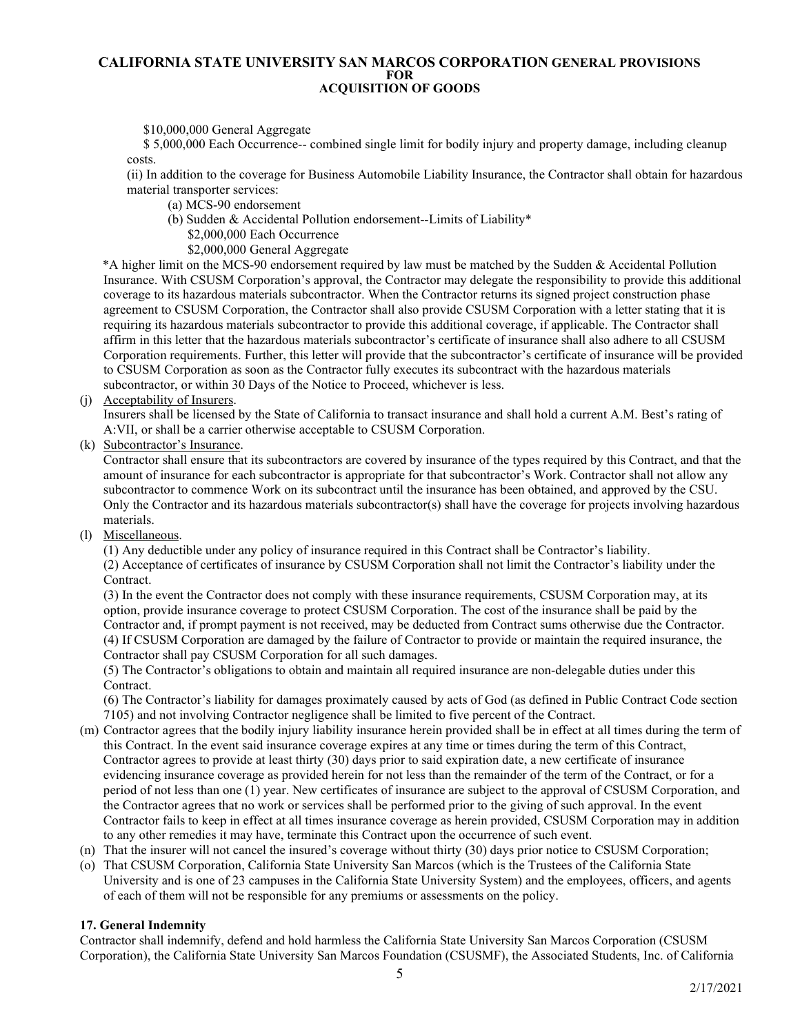\$10,000,000 General Aggregate

 \$ 5,000,000 Each Occurrence-- combined single limit for bodily injury and property damage, including cleanup costs.

(ii) In addition to the coverage for Business Automobile Liability Insurance, the Contractor shall obtain for hazardous material transporter services:

- (a) MCS-90 endorsement
- (b) Sudden & Accidental Pollution endorsement--Limits of Liability\*
	- \$2,000,000 Each Occurrence
	- \$2,000,000 General Aggregate

\*A higher limit on the MCS-90 endorsement required by law must be matched by the Sudden & Accidental Pollution Insurance. With CSUSM Corporation's approval, the Contractor may delegate the responsibility to provide this additional coverage to its hazardous materials subcontractor. When the Contractor returns its signed project construction phase agreement to CSUSM Corporation, the Contractor shall also provide CSUSM Corporation with a letter stating that it is requiring its hazardous materials subcontractor to provide this additional coverage, if applicable. The Contractor shall affirm in this letter that the hazardous materials subcontractor's certificate of insurance shall also adhere to all CSUSM Corporation requirements. Further, this letter will provide that the subcontractor's certificate of insurance will be provided to CSUSM Corporation as soon as the Contractor fully executes its subcontract with the hazardous materials subcontractor, or within 30 Days of the Notice to Proceed, whichever is less.

(j) Acceptability of Insurers.

 Insurers shall be licensed by the State of California to transact insurance and shall hold a current A.M. Best's rating of A:VII, or shall be a carrier otherwise acceptable to CSUSM Corporation.

(k) Subcontractor's Insurance.

 Contractor shall ensure that its subcontractors are covered by insurance of the types required by this Contract, and that the amount of insurance for each subcontractor is appropriate for that subcontractor's Work. Contractor shall not allow any subcontractor to commence Work on its subcontract until the insurance has been obtained, and approved by the CSU. Only the Contractor and its hazardous materials subcontractor(s) shall have the coverage for projects involving hazardous materials.

(l) Miscellaneous.

(1) Any deductible under any policy of insurance required in this Contract shall be Contractor's liability. (2) Acceptance of certificates of insurance by CSUSM Corporation shall not limit the Contractor's liability under the Contract.

(3) In the event the Contractor does not comply with these insurance requirements, CSUSM Corporation may, at its option, provide insurance coverage to protect CSUSM Corporation. The cost of the insurance shall be paid by the Contractor and, if prompt payment is not received, may be deducted from Contract sums otherwise due the Contractor. (4) If CSUSM Corporation are damaged by the failure of Contractor to provide or maintain the required insurance, the Contractor shall pay CSUSM Corporation for all such damages.

(5) The Contractor's obligations to obtain and maintain all required insurance are non-delegable duties under this Contract.

(6) The Contractor's liability for damages proximately caused by acts of God (as defined in Public Contract Code section 7105) and not involving Contractor negligence shall be limited to five percent of the Contract.

- (m) Contractor agrees that the bodily injury liability insurance herein provided shall be in effect at all times during the term of this Contract. In the event said insurance coverage expires at any time or times during the term of this Contract, Contractor agrees to provide at least thirty (30) days prior to said expiration date, a new certificate of insurance evidencing insurance coverage as provided herein for not less than the remainder of the term of the Contract, or for a period of not less than one (1) year. New certificates of insurance are subject to the approval of CSUSM Corporation, and the Contractor agrees that no work or services shall be performed prior to the giving of such approval. In the event Contractor fails to keep in effect at all times insurance coverage as herein provided, CSUSM Corporation may in addition to any other remedies it may have, terminate this Contract upon the occurrence of such event.
- (n) That the insurer will not cancel the insured's coverage without thirty (30) days prior notice to CSUSM Corporation;
- (o) That CSUSM Corporation, California State University San Marcos (which is the Trustees of the California State University and is one of 23 campuses in the California State University System) and the employees, officers, and agents of each of them will not be responsible for any premiums or assessments on the policy.

## <span id="page-4-0"></span>**17. General Indemnity**

Contractor shall indemnify, defend and hold harmless the California State University San Marcos Corporation (CSUSM Corporation), the California State University San Marcos Foundation (CSUSMF), the Associated Students, Inc. of California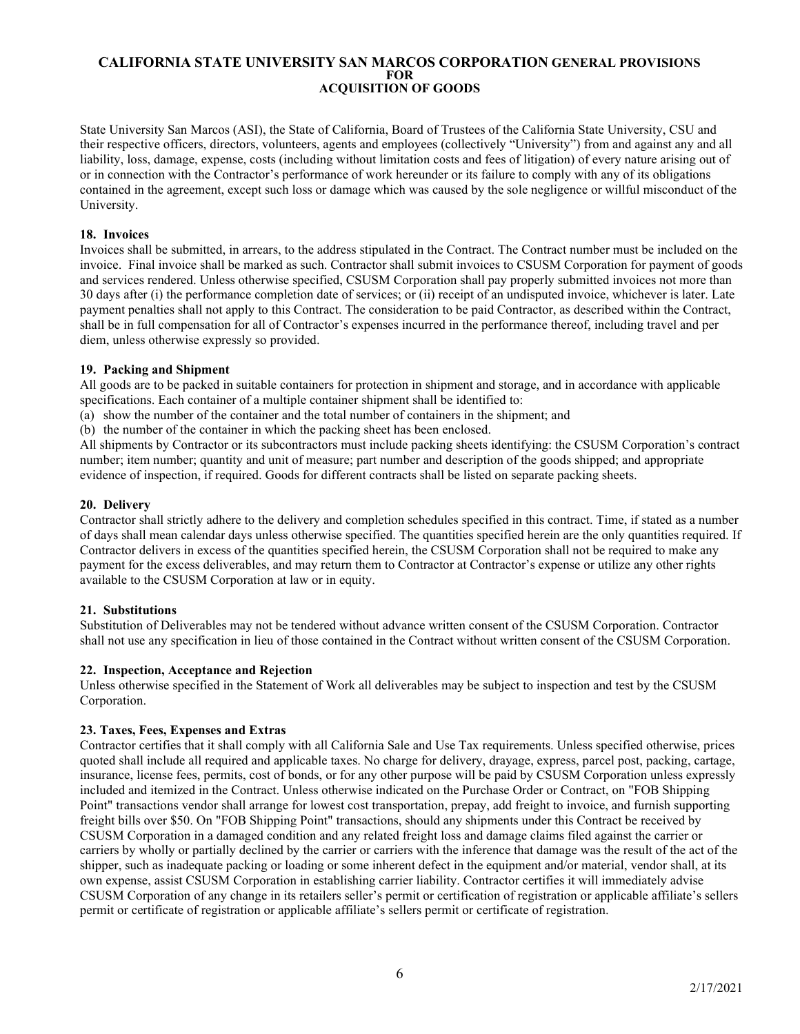State University San Marcos (ASI), the State of California, Board of Trustees of the California State University, CSU and their respective officers, directors, volunteers, agents and employees (collectively "University") from and against any and all liability, loss, damage, expense, costs (including without limitation costs and fees of litigation) of every nature arising out of or in connection with the Contractor's performance of work hereunder or its failure to comply with any of its obligations contained in the agreement, except such loss or damage which was caused by the sole negligence or willful misconduct of the University.

## <span id="page-5-0"></span>**18. Invoices**

Invoices shall be submitted, in arrears, to the address stipulated in the Contract. The Contract number must be included on the invoice. Final invoice shall be marked as such. Contractor shall submit invoices to CSUSM Corporation for payment of goods and services rendered. Unless otherwise specified, CSUSM Corporation shall pay properly submitted invoices not more than 30 days after (i) the performance completion date of services; or (ii) receipt of an undisputed invoice, whichever is later. Late payment penalties shall not apply to this Contract. The consideration to be paid Contractor, as described within the Contract, shall be in full compensation for all of Contractor's expenses incurred in the performance thereof, including travel and per diem, unless otherwise expressly so provided.

## <span id="page-5-1"></span>**19. Packing and Shipment**

All goods are to be packed in suitable containers for protection in shipment and storage, and in accordance with applicable specifications. Each container of a multiple container shipment shall be identified to:

(a) show the number of the container and the total number of containers in the shipment; and

(b) the number of the container in which the packing sheet has been enclosed.

All shipments by Contractor or its subcontractors must include packing sheets identifying: the CSUSM Corporation's contract number; item number; quantity and unit of measure; part number and description of the goods shipped; and appropriate evidence of inspection, if required. Goods for different contracts shall be listed on separate packing sheets.

## <span id="page-5-2"></span>**20. Delivery**

Contractor shall strictly adhere to the delivery and completion schedules specified in this contract. Time, if stated as a number of days shall mean calendar days unless otherwise specified. The quantities specified herein are the only quantities required. If Contractor delivers in excess of the quantities specified herein, the CSUSM Corporation shall not be required to make any payment for the excess deliverables, and may return them to Contractor at Contractor's expense or utilize any other rights available to the CSUSM Corporation at law or in equity.

## <span id="page-5-3"></span>**21. Substitutions**

Substitution of Deliverables may not be tendered without advance written consent of the CSUSM Corporation. Contractor shall not use any specification in lieu of those contained in the Contract without written consent of the CSUSM Corporation.

#### <span id="page-5-4"></span>**22. Inspection, Acceptance and Rejection**

Unless otherwise specified in the Statement of Work all deliverables may be subject to inspection and test by the CSUSM Corporation.

## <span id="page-5-5"></span>**23. Taxes, Fees, Expenses and Extras**

Contractor certifies that it shall comply with all California Sale and Use Tax requirements. Unless specified otherwise, prices quoted shall include all required and applicable taxes. No charge for delivery, drayage, express, parcel post, packing, cartage, insurance, license fees, permits, cost of bonds, or for any other purpose will be paid by CSUSM Corporation unless expressly included and itemized in the Contract. Unless otherwise indicated on the Purchase Order or Contract, on "FOB Shipping Point" transactions vendor shall arrange for lowest cost transportation, prepay, add freight to invoice, and furnish supporting freight bills over \$50. On "FOB Shipping Point" transactions, should any shipments under this Contract be received by CSUSM Corporation in a damaged condition and any related freight loss and damage claims filed against the carrier or carriers by wholly or partially declined by the carrier or carriers with the inference that damage was the result of the act of the shipper, such as inadequate packing or loading or some inherent defect in the equipment and/or material, vendor shall, at its own expense, assist CSUSM Corporation in establishing carrier liability. Contractor certifies it will immediately advise CSUSM Corporation of any change in its retailers seller's permit or certification of registration or applicable affiliate's sellers permit or certificate of registration or applicable affiliate's sellers permit or certificate of registration.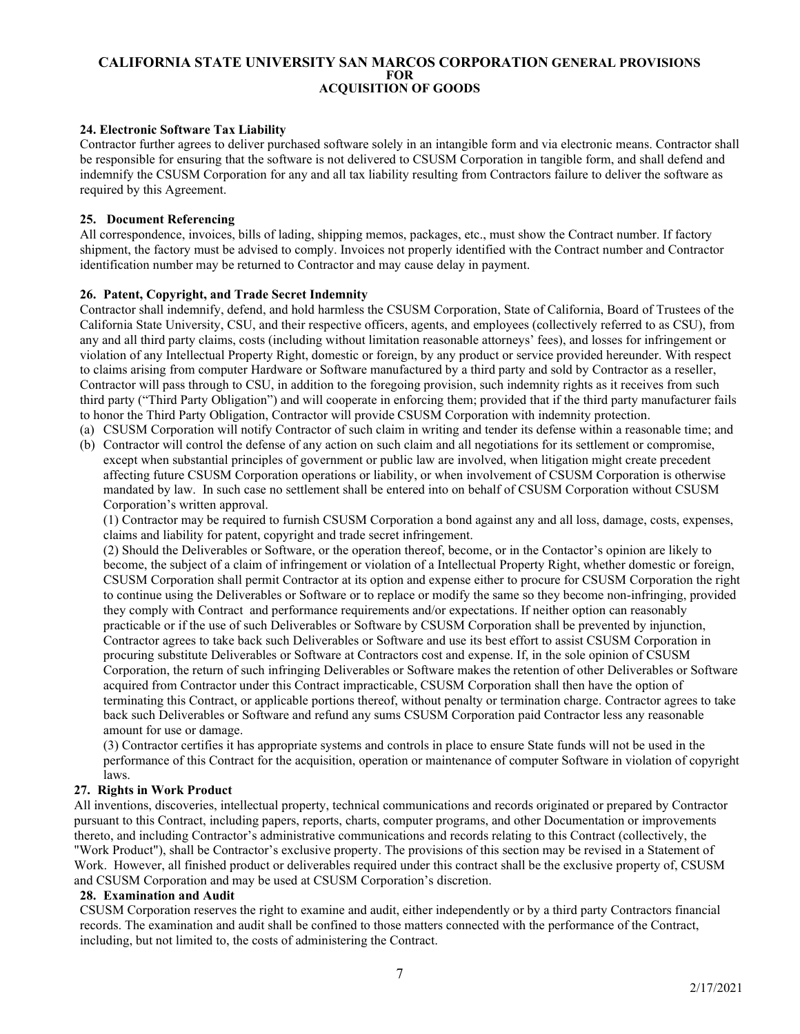## <span id="page-6-0"></span>**24. Electronic Software Tax Liability**

Contractor further agrees to deliver purchased software solely in an intangible form and via electronic means. Contractor shall be responsible for ensuring that the software is not delivered to CSUSM Corporation in tangible form, and shall defend and indemnify the CSUSM Corporation for any and all tax liability resulting from Contractors failure to deliver the software as required by this Agreement.

#### <span id="page-6-1"></span>**25. Document Referencing**

All correspondence, invoices, bills of lading, shipping memos, packages, etc., must show the Contract number. If factory shipment, the factory must be advised to comply. Invoices not properly identified with the Contract number and Contractor identification number may be returned to Contractor and may cause delay in payment.

## <span id="page-6-2"></span>**26. Patent, Copyright, and Trade Secret Indemnity**

Contractor shall indemnify, defend, and hold harmless the CSUSM Corporation, State of California, Board of Trustees of the California State University, CSU, and their respective officers, agents, and employees (collectively referred to as CSU), from any and all third party claims, costs (including without limitation reasonable attorneys' fees), and losses for infringement or violation of any Intellectual Property Right, domestic or foreign, by any product or service provided hereunder. With respect to claims arising from computer Hardware or Software manufactured by a third party and sold by Contractor as a reseller, Contractor will pass through to CSU, in addition to the foregoing provision, such indemnity rights as it receives from such third party ("Third Party Obligation") and will cooperate in enforcing them; provided that if the third party manufacturer fails to honor the Third Party Obligation, Contractor will provide CSUSM Corporation with indemnity protection.

- (a) CSUSM Corporation will notify Contractor of such claim in writing and tender its defense within a reasonable time; and
- (b) Contractor will control the defense of any action on such claim and all negotiations for its settlement or compromise, except when substantial principles of government or public law are involved, when litigation might create precedent affecting future CSUSM Corporation operations or liability, or when involvement of CSUSM Corporation is otherwise mandated by law. In such case no settlement shall be entered into on behalf of CSUSM Corporation without CSUSM Corporation's written approval.

(1) Contractor may be required to furnish CSUSM Corporation a bond against any and all loss, damage, costs, expenses, claims and liability for patent, copyright and trade secret infringement.

(2) Should the Deliverables or Software, or the operation thereof, become, or in the Contactor's opinion are likely to become, the subject of a claim of infringement or violation of a Intellectual Property Right, whether domestic or foreign, CSUSM Corporation shall permit Contractor at its option and expense either to procure for CSUSM Corporation the right to continue using the Deliverables or Software or to replace or modify the same so they become non-infringing, provided they comply with Contract and performance requirements and/or expectations. If neither option can reasonably practicable or if the use of such Deliverables or Software by CSUSM Corporation shall be prevented by injunction, Contractor agrees to take back such Deliverables or Software and use its best effort to assist CSUSM Corporation in procuring substitute Deliverables or Software at Contractors cost and expense. If, in the sole opinion of CSUSM Corporation, the return of such infringing Deliverables or Software makes the retention of other Deliverables or Software acquired from Contractor under this Contract impracticable, CSUSM Corporation shall then have the option of terminating this Contract, or applicable portions thereof, without penalty or termination charge. Contractor agrees to take back such Deliverables or Software and refund any sums CSUSM Corporation paid Contractor less any reasonable amount for use or damage.

(3) Contractor certifies it has appropriate systems and controls in place to ensure State funds will not be used in the performance of this Contract for the acquisition, operation or maintenance of computer Software in violation of copyright laws.

#### <span id="page-6-3"></span>**27. Rights in Work Product**

All inventions, discoveries, intellectual property, technical communications and records originated or prepared by Contractor pursuant to this Contract, including papers, reports, charts, computer programs, and other Documentation or improvements thereto, and including Contractor's administrative communications and records relating to this Contract (collectively, the "Work Product"), shall be Contractor's exclusive property. The provisions of this section may be revised in a Statement of Work. However, all finished product or deliverables required under this contract shall be the exclusive property of, CSUSM and CSUSM Corporation and may be used at CSUSM Corporation's discretion.

#### <span id="page-6-4"></span>**28. Examination and Audit**

CSUSM Corporation reserves the right to examine and audit, either independently or by a third party Contractors financial records. The examination and audit shall be confined to those matters connected with the performance of the Contract, including, but not limited to, the costs of administering the Contract.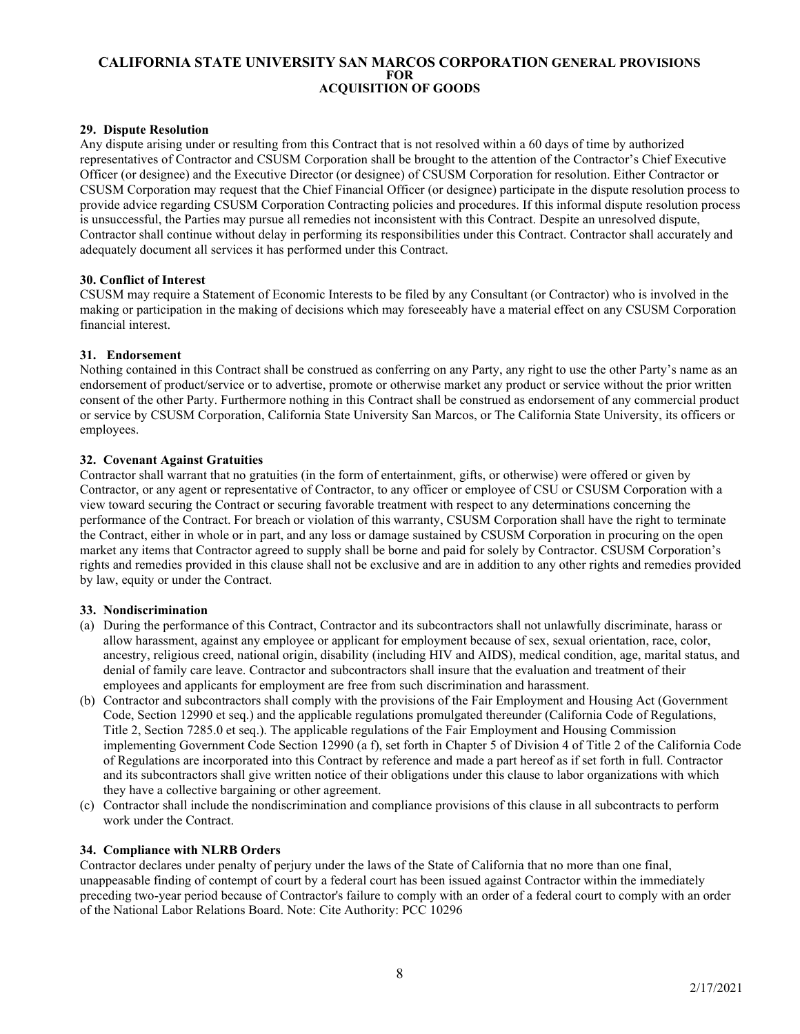# <span id="page-7-0"></span>**29. Dispute Resolution**

Any dispute arising under or resulting from this Contract that is not resolved within a 60 days of time by authorized representatives of Contractor and CSUSM Corporation shall be brought to the attention of the Contractor's Chief Executive Officer (or designee) and the Executive Director (or designee) of CSUSM Corporation for resolution. Either Contractor or CSUSM Corporation may request that the Chief Financial Officer (or designee) participate in the dispute resolution process to provide advice regarding CSUSM Corporation Contracting policies and procedures. If this informal dispute resolution process is unsuccessful, the Parties may pursue all remedies not inconsistent with this Contract. Despite an unresolved dispute, Contractor shall continue without delay in performing its responsibilities under this Contract. Contractor shall accurately and adequately document all services it has performed under this Contract.

## <span id="page-7-1"></span>**30. Conflict of Interest**

CSUSM may require a Statement of Economic Interests to be filed by any Consultant (or Contractor) who is involved in the making or participation in the making of decisions which may foreseeably have a material effect on any CSUSM Corporation financial interest.

## <span id="page-7-2"></span>**31. Endorsement**

Nothing contained in this Contract shall be construed as conferring on any Party, any right to use the other Party's name as an endorsement of product/service or to advertise, promote or otherwise market any product or service without the prior written consent of the other Party. Furthermore nothing in this Contract shall be construed as endorsement of any commercial product or service by CSUSM Corporation, California State University San Marcos, or The California State University, its officers or employees.

# <span id="page-7-3"></span>**32. Covenant Against Gratuities**

Contractor shall warrant that no gratuities (in the form of entertainment, gifts, or otherwise) were offered or given by Contractor, or any agent or representative of Contractor, to any officer or employee of CSU or CSUSM Corporation with a view toward securing the Contract or securing favorable treatment with respect to any determinations concerning the performance of the Contract. For breach or violation of this warranty, CSUSM Corporation shall have the right to terminate the Contract, either in whole or in part, and any loss or damage sustained by CSUSM Corporation in procuring on the open market any items that Contractor agreed to supply shall be borne and paid for solely by Contractor. CSUSM Corporation's rights and remedies provided in this clause shall not be exclusive and are in addition to any other rights and remedies provided by law, equity or under the Contract.

## <span id="page-7-4"></span>**33. Nondiscrimination**

- (a) During the performance of this Contract, Contractor and its subcontractors shall not unlawfully discriminate, harass or allow harassment, against any employee or applicant for employment because of sex, sexual orientation, race, color, ancestry, religious creed, national origin, disability (including HIV and AIDS), medical condition, age, marital status, and denial of family care leave. Contractor and subcontractors shall insure that the evaluation and treatment of their employees and applicants for employment are free from such discrimination and harassment.
- (b) Contractor and subcontractors shall comply with the provisions of the Fair Employment and Housing Act (Government Code, Section 12990 et seq.) and the applicable regulations promulgated thereunder (California Code of Regulations, Title 2, Section 7285.0 et seq.). The applicable regulations of the Fair Employment and Housing Commission implementing Government Code Section 12990 (a f), set forth in Chapter 5 of Division 4 of Title 2 of the California Code of Regulations are incorporated into this Contract by reference and made a part hereof as if set forth in full. Contractor and its subcontractors shall give written notice of their obligations under this clause to labor organizations with which they have a collective bargaining or other agreement.
- (c) Contractor shall include the nondiscrimination and compliance provisions of this clause in all subcontracts to perform work under the Contract.

## <span id="page-7-5"></span>**34. Compliance with NLRB Orders**

Contractor declares under penalty of perjury under the laws of the State of California that no more than one final, unappeasable finding of contempt of court by a federal court has been issued against Contractor within the immediately preceding two-year period because of Contractor's failure to comply with an order of a federal court to comply with an order of the National Labor Relations Board. Note: Cite Authority: PCC 10296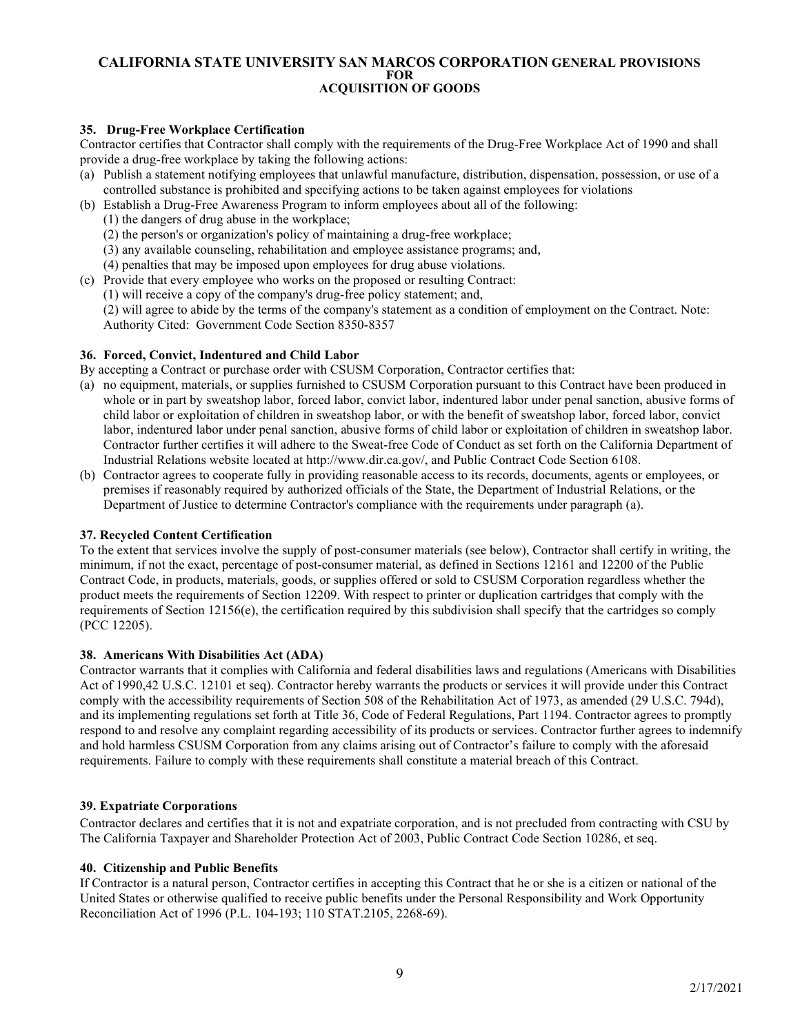# <span id="page-8-0"></span>**35. Drug-Free Workplace Certification**

Contractor certifies that Contractor shall comply with the requirements of the Drug-Free Workplace Act of 1990 and shall provide a drug-free workplace by taking the following actions:

- (a) Publish a statement notifying employees that unlawful manufacture, distribution, dispensation, possession, or use of a controlled substance is prohibited and specifying actions to be taken against employees for violations
- (b) Establish a Drug-Free Awareness Program to inform employees about all of the following:
	- (1) the dangers of drug abuse in the workplace;
	- (2) the person's or organization's policy of maintaining a drug-free workplace;
	- (3) any available counseling, rehabilitation and employee assistance programs; and,
	- (4) penalties that may be imposed upon employees for drug abuse violations.
- (c) Provide that every employee who works on the proposed or resulting Contract:
	- (1) will receive a copy of the company's drug-free policy statement; and,

(2) will agree to abide by the terms of the company's statement as a condition of employment on the Contract. Note: Authority Cited: Government Code Section 8350-8357

## <span id="page-8-1"></span>**36. Forced, Convict, Indentured and Child Labor**

By accepting a Contract or purchase order with CSUSM Corporation, Contractor certifies that:

- (a) no equipment, materials, or supplies furnished to CSUSM Corporation pursuant to this Contract have been produced in whole or in part by sweatshop labor, forced labor, convict labor, indentured labor under penal sanction, abusive forms of child labor or exploitation of children in sweatshop labor, or with the benefit of sweatshop labor, forced labor, convict labor, indentured labor under penal sanction, abusive forms of child labor or exploitation of children in sweatshop labor. Contractor further certifies it will adhere to the Sweat-free Code of Conduct as set forth on the California Department of Industrial Relations website located at http://www.dir.ca.gov/, and Public Contract Code Section 6108.
- (b) Contractor agrees to cooperate fully in providing reasonable access to its records, documents, agents or employees, or premises if reasonably required by authorized officials of the State, the Department of Industrial Relations, or the Department of Justice to determine Contractor's compliance with the requirements under paragraph (a).

## <span id="page-8-2"></span>**37. Recycled Content Certification**

To the extent that services involve the supply of post-consumer materials (see below), Contractor shall certify in writing, the minimum, if not the exact, percentage of post-consumer material, as defined in Sections 12161 and 12200 of the Public Contract Code, in products, materials, goods, or supplies offered or sold to CSUSM Corporation regardless whether the product meets the requirements of Section 12209. With respect to printer or duplication cartridges that comply with the requirements of Section 12156(e), the certification required by this subdivision shall specify that the cartridges so comply (PCC 12205).

## <span id="page-8-3"></span>**38. Americans With Disabilities Act (ADA)**

Contractor warrants that it complies with California and federal disabilities laws and regulations (Americans with Disabilities Act of 1990,42 U.S.C. 12101 et seq). Contractor hereby warrants the products or services it will provide under this Contract comply with the accessibility requirements of Section 508 of the Rehabilitation Act of 1973, as amended (29 U.S.C. 794d), and its implementing regulations set forth at Title 36, Code of Federal Regulations, Part 1194. Contractor agrees to promptly respond to and resolve any complaint regarding accessibility of its products or services. Contractor further agrees to indemnify and hold harmless CSUSM Corporation from any claims arising out of Contractor's failure to comply with the aforesaid requirements. Failure to comply with these requirements shall constitute a material breach of this Contract.

## <span id="page-8-4"></span>**39. Expatriate Corporations**

Contractor declares and certifies that it is not and expatriate corporation, and is not precluded from contracting with CSU by The California Taxpayer and Shareholder Protection Act of 2003, Public Contract Code Section 10286, et seq.

## <span id="page-8-5"></span>**40. Citizenship and Public Benefits**

If Contractor is a natural person, Contractor certifies in accepting this Contract that he or she is a citizen or national of the United States or otherwise qualified to receive public benefits under the Personal Responsibility and Work Opportunity Reconciliation Act of 1996 (P.L. 104-193; 110 STAT.2105, 2268-69).